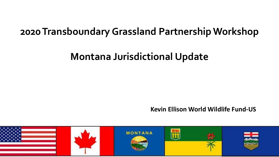# **2020 Transboundary Grassland Partnership Workshop**

# **Montana Jurisdictional Update**

**Kevin Ellison World Wildlife Fund-US**

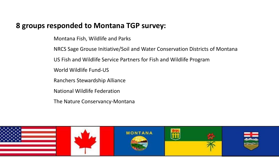# **8 groups responded to Montana TGP survey:**

Montana Fish, Wildlife and Parks

NRCS Sage Grouse Initiative/Soil and Water Conservation Districts of Montana

US Fish and Wildlife Service Partners for Fish and Wildlife Program

World Wildlife Fund-US

Ranchers Stewardship Alliance

National Wildlife Federation

The Nature Conservancy-Montana

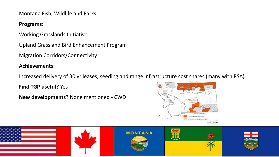Montana Fish, Wildlife and Parks

### **Programs:**

Working Grasslands Initiative

Upland Grassland Bird Enhancement Program

Migration Corridors/Connectivity

## **Achievements:**

Increased delivery of 30 yr leases; seeding and range infrastructure cost shares (many with RSA)

**Find TGP useful?** Yes

**New developments?** None mentioned - CWD



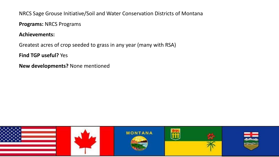NRCS Sage Grouse Initiative/Soil and Water Conservation Districts of Montana

**Programs:** NRCS Programs

#### **Achievements:**

Greatest acres of crop seeded to grass in any year (many with RSA)

**Find TGP useful?** Yes

**New developments?** None mentioned

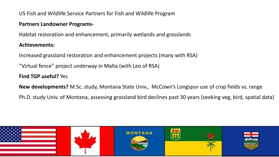US Fish and Wildlife Service Partners for Fish and Wildlife Program

#### **Partners Landowner Programs-**

Habitat restoration and enhancement, primarily wetlands and grasslands

### **Achievements:**

Increased grassland restoration and enhancement projects (many with RSA)

"Virtual fence" project underway in Malta (with Leo of RSA)

**Find TGP useful?** Yes

**New developments?** M.Sc. study, Montana State Univ., McCown's Longspur use of crop fields vs. range

Ph.D. study Univ. of Montana, assessing grassland bird declines past 30 years (seeking veg, bird, spatial data)

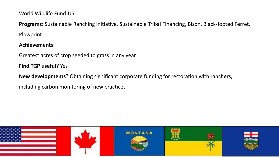World Wildlife Fund-US

**Programs:** Sustainable Ranching Initiative, Sustainable Tribal Financing, Bison, Black-footed Ferret, Plowprint

#### **Achievements:**

Greatest acres of crop seeded to grass in any year

**Find TGP useful?** Yes

**New developments?** Obtaining significant corporate funding for restoration with ranchers,

including carbon monitoring of new practices

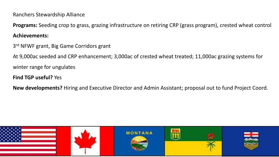Ranchers Stewardship Alliance

**Programs:** Seeding crop to grass, grazing infrastructure on retiring CRP (grass program), crested wheat control

#### **Achievements:**

3<sup>rd</sup> NFWF grant, Big Game Corridors grant

At 9,000ac seeded and CRP enhancement; 3,000ac of crested wheat treated; 11,000ac grazing systems for

winter range for ungulates

### **Find TGP useful?** Yes

**New developments?** Hiring and Executive Director and Admin Assistant; proposal out to fund Project Coord.

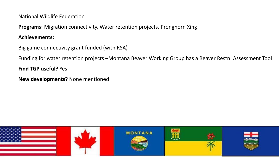National Wildlife Federation

**Programs:** Migration connectivity, Water retention projects, Pronghorn Xing

#### **Achievements:**

Big game connectivity grant funded (with RSA)

Funding for water retention projects –Montana Beaver Working Group has a Beaver Restn. Assessment Tool

**Find TGP useful?** Yes

**New developments?** None mentioned

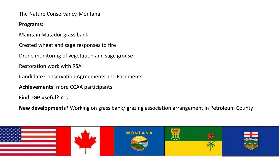The Nature Conservancy-Montana

#### **Programs:**

Maintain Matador grass bank

Crested wheat and sage responses to fire

Drone monitoring of vegetation and sage grouse

Restoration work with RSA

Candidate Conservation Agreements and Easements

**Achievements:** more CCAA participants

**Find TGP useful?** Yes

**New developments?** Working on grass bank/ grazing association arrangement in Petroleum County

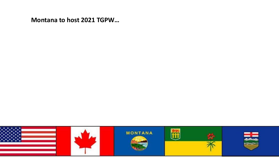**Montana to host 2021 TGPW…**